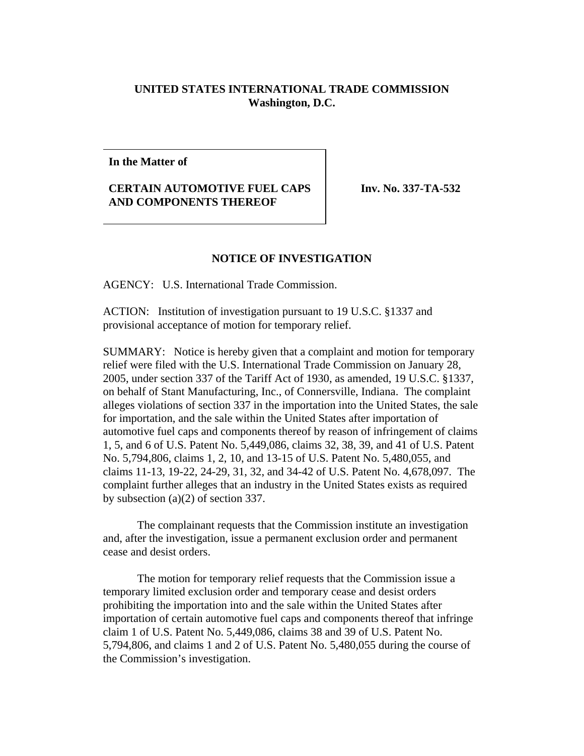## **UNITED STATES INTERNATIONAL TRADE COMMISSION Washington, D.C.**

## **In the Matter of**

## **CERTAIN AUTOMOTIVE FUEL CAPS AND COMPONENTS THEREOF**

**Inv. No. 337-TA-532** 

## **NOTICE OF INVESTIGATION**

AGENCY: U.S. International Trade Commission.

ACTION: Institution of investigation pursuant to 19 U.S.C. §1337 and provisional acceptance of motion for temporary relief.

SUMMARY: Notice is hereby given that a complaint and motion for temporary relief were filed with the U.S. International Trade Commission on January 28, 2005, under section 337 of the Tariff Act of 1930, as amended, 19 U.S.C. §1337, on behalf of Stant Manufacturing, Inc., of Connersville, Indiana. The complaint alleges violations of section 337 in the importation into the United States, the sale for importation, and the sale within the United States after importation of automotive fuel caps and components thereof by reason of infringement of claims 1, 5, and 6 of U.S. Patent No. 5,449,086, claims 32, 38, 39, and 41 of U.S. Patent No. 5,794,806, claims 1, 2, 10, and 13-15 of U.S. Patent No. 5,480,055, and claims 11-13, 19-22, 24-29, 31, 32, and 34-42 of U.S. Patent No. 4,678,097. The complaint further alleges that an industry in the United States exists as required by subsection (a)(2) of section 337.

The complainant requests that the Commission institute an investigation and, after the investigation, issue a permanent exclusion order and permanent cease and desist orders.

The motion for temporary relief requests that the Commission issue a temporary limited exclusion order and temporary cease and desist orders prohibiting the importation into and the sale within the United States after importation of certain automotive fuel caps and components thereof that infringe claim 1 of U.S. Patent No. 5,449,086, claims 38 and 39 of U.S. Patent No. 5,794,806, and claims 1 and 2 of U.S. Patent No. 5,480,055 during the course of the Commission's investigation.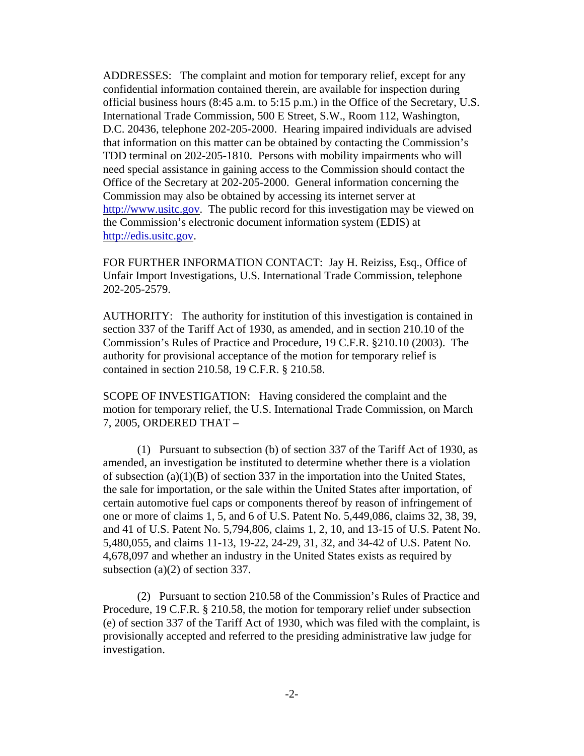ADDRESSES: The complaint and motion for temporary relief, except for any confidential information contained therein, are available for inspection during official business hours (8:45 a.m. to 5:15 p.m.) in the Office of the Secretary, U.S. International Trade Commission, 500 E Street, S.W., Room 112, Washington, D.C. 20436, telephone 202-205-2000. Hearing impaired individuals are advised that information on this matter can be obtained by contacting the Commission's TDD terminal on 202-205-1810. Persons with mobility impairments who will need special assistance in gaining access to the Commission should contact the Office of the Secretary at 202-205-2000. General information concerning the Commission may also be obtained by accessing its internet server at http://www.usitc.gov. The public record for this investigation may be viewed on the Commission's electronic document information system (EDIS) at http://edis.usitc.gov.

FOR FURTHER INFORMATION CONTACT: Jay H. Reiziss, Esq., Office of Unfair Import Investigations, U.S. International Trade Commission, telephone 202-205-2579.

AUTHORITY: The authority for institution of this investigation is contained in section 337 of the Tariff Act of 1930, as amended, and in section 210.10 of the Commission's Rules of Practice and Procedure, 19 C.F.R. §210.10 (2003). The authority for provisional acceptance of the motion for temporary relief is contained in section 210.58, 19 C.F.R. § 210.58.

SCOPE OF INVESTIGATION: Having considered the complaint and the motion for temporary relief, the U.S. International Trade Commission, on March 7, 2005, ORDERED THAT –

(1) Pursuant to subsection (b) of section 337 of the Tariff Act of 1930, as amended, an investigation be instituted to determine whether there is a violation of subsection (a)(1)(B) of section 337 in the importation into the United States, the sale for importation, or the sale within the United States after importation, of certain automotive fuel caps or components thereof by reason of infringement of one or more of claims 1, 5, and 6 of U.S. Patent No. 5,449,086, claims 32, 38, 39, and 41 of U.S. Patent No. 5,794,806, claims 1, 2, 10, and 13-15 of U.S. Patent No. 5,480,055, and claims 11-13, 19-22, 24-29, 31, 32, and 34-42 of U.S. Patent No. 4,678,097 and whether an industry in the United States exists as required by subsection (a)(2) of section 337.

(2) Pursuant to section 210.58 of the Commission's Rules of Practice and Procedure, 19 C.F.R. § 210.58, the motion for temporary relief under subsection (e) of section 337 of the Tariff Act of 1930, which was filed with the complaint, is provisionally accepted and referred to the presiding administrative law judge for investigation.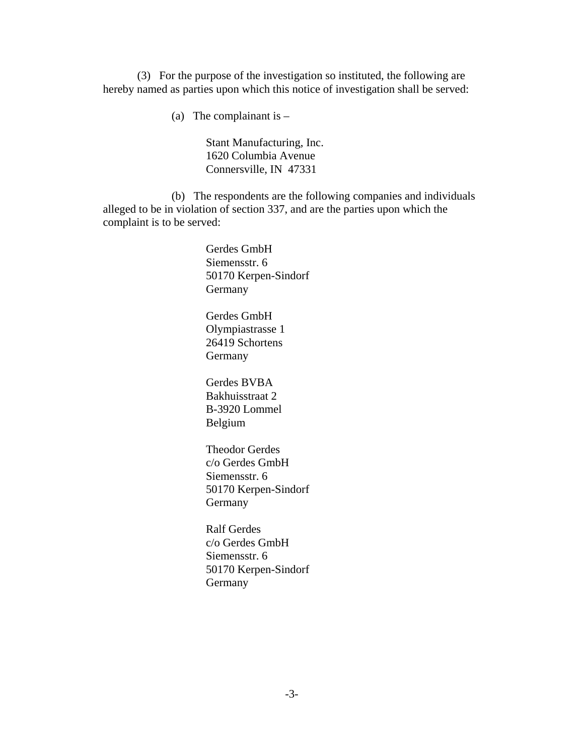(3) For the purpose of the investigation so instituted, the following are hereby named as parties upon which this notice of investigation shall be served:

(a) The complainant is  $-$ 

Stant Manufacturing, Inc. 1620 Columbia Avenue Connersville, IN 47331

(b) The respondents are the following companies and individuals alleged to be in violation of section 337, and are the parties upon which the complaint is to be served:

> Gerdes GmbH Siemensstr. 6 50170 Kerpen-Sindorf Germany

Gerdes GmbH Olympiastrasse 1 26419 Schortens Germany

Gerdes BVBA Bakhuisstraat 2 B-3920 Lommel Belgium

Theodor Gerdes c/o Gerdes GmbH Siemensstr. 6 50170 Kerpen-Sindorf Germany

Ralf Gerdes c/o Gerdes GmbH Siemensstr. 6 50170 Kerpen-Sindorf Germany